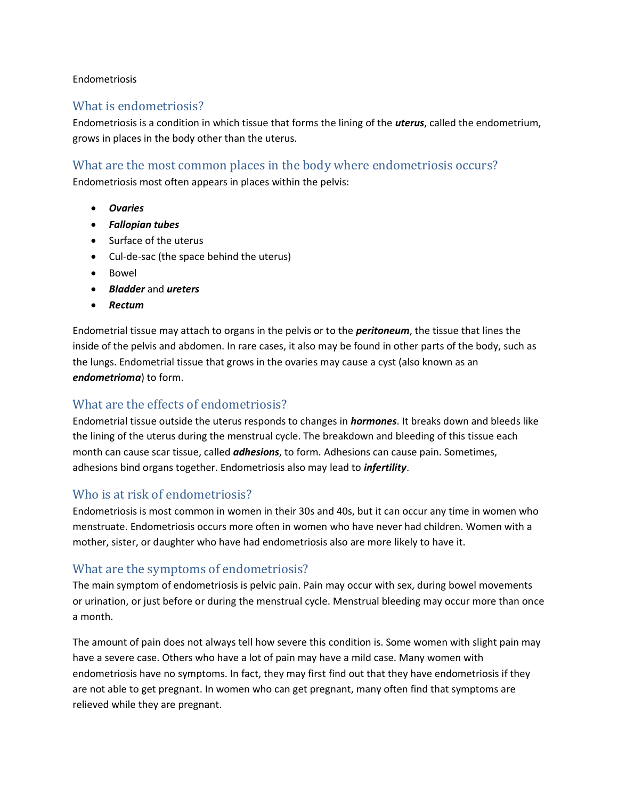#### Endometriosis

#### What is endometriosis?

Endometriosis is a condition in which tissue that forms the lining of the *uterus*, called the endometrium, grows in places in the body other than the uterus.

#### What are the most common places in the body where endometriosis occurs?

Endometriosis most often appears in places within the pelvis:

- *Ovaries*
- *Fallopian tubes*
- Surface of the uterus
- Cul-de-sac (the space behind the uterus)
- Bowel
- *Bladder* and *ureters*
- *Rectum*

Endometrial tissue may attach to organs in the pelvis or to the *peritoneum*, the tissue that lines the inside of the pelvis and abdomen. In rare cases, it also may be found in other parts of the body, such as the lungs. Endometrial tissue that grows in the ovaries may cause a cyst (also known as an *endometrioma*) to form.

### What are the effects of endometriosis?

Endometrial tissue outside the uterus responds to changes in *hormones*. It breaks down and bleeds like the lining of the uterus during the menstrual cycle. The breakdown and bleeding of this tissue each month can cause scar tissue, called *adhesions*, to form. Adhesions can cause pain. Sometimes, adhesions bind organs together. Endometriosis also may lead to *infertility*.

### Who is at risk of endometriosis?

Endometriosis is most common in women in their 30s and 40s, but it can occur any time in women who menstruate. Endometriosis occurs more often in women who have never had children. Women with a mother, sister, or daughter who have had endometriosis also are more likely to have it.

### What are the symptoms of endometriosis?

The main symptom of endometriosis is pelvic pain. Pain may occur with sex, during bowel movements or urination, or just before or during the menstrual cycle. Menstrual bleeding may occur more than once a month.

The amount of pain does not always tell how severe this condition is. Some women with slight pain may have a severe case. Others who have a lot of pain may have a mild case. Many women with endometriosis have no symptoms. In fact, they may first find out that they have endometriosis if they are not able to get pregnant. In women who can get pregnant, many often find that symptoms are relieved while they are pregnant.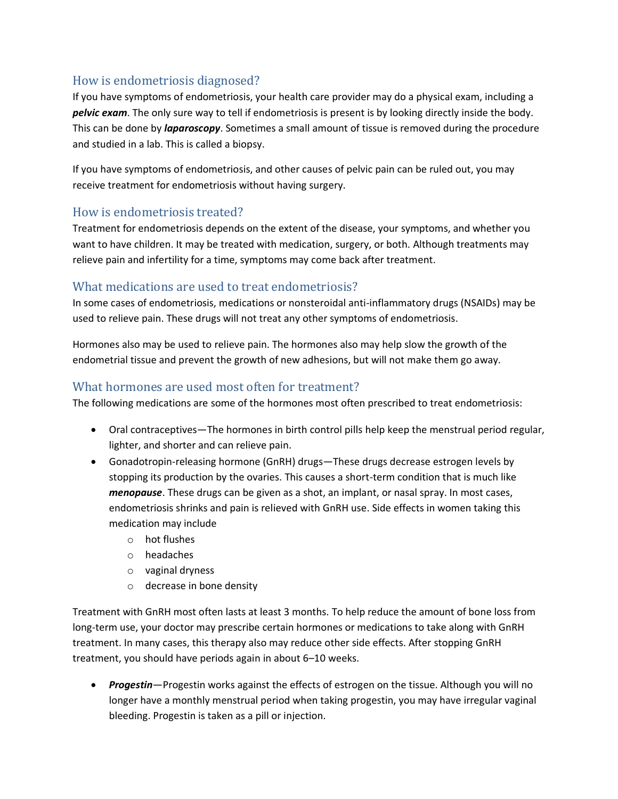# How is endometriosis diagnosed?

If you have symptoms of endometriosis, your health care provider may do a physical exam, including a *pelvic exam*. The only sure way to tell if endometriosis is present is by looking directly inside the body. This can be done by *laparoscopy*. Sometimes a small amount of tissue is removed during the procedure and studied in a lab. This is called a biopsy.

If you have symptoms of endometriosis, and other causes of pelvic pain can be ruled out, you may receive treatment for endometriosis without having surgery.

# How is endometriosis treated?

Treatment for endometriosis depends on the extent of the disease, your symptoms, and whether you want to have children. It may be treated with medication, surgery, or both. Although treatments may relieve pain and infertility for a time, symptoms may come back after treatment.

# What medications are used to treat endometriosis?

In some cases of endometriosis, medications or nonsteroidal anti-inflammatory drugs (NSAIDs) may be used to relieve pain. These drugs will not treat any other symptoms of endometriosis.

Hormones also may be used to relieve pain. The hormones also may help slow the growth of the endometrial tissue and prevent the growth of new adhesions, but will not make them go away.

# What hormones are used most often for treatment?

The following medications are some of the hormones most often prescribed to treat endometriosis:

- Oral contraceptives—The hormones in birth control pills help keep the menstrual period regular, lighter, and shorter and can relieve pain.
- Gonadotropin-releasing hormone (GnRH) drugs—These drugs decrease estrogen levels by stopping its production by the ovaries. This causes a short-term condition that is much like *menopause*. These drugs can be given as a shot, an implant, or nasal spray. In most cases, endometriosis shrinks and pain is relieved with GnRH use. Side effects in women taking this medication may include
	- o hot flushes
	- o headaches
	- o vaginal dryness
	- o decrease in bone density

Treatment with GnRH most often lasts at least 3 months. To help reduce the amount of bone loss from long-term use, your doctor may prescribe certain hormones or medications to take along with GnRH treatment. In many cases, this therapy also may reduce other side effects. After stopping GnRH treatment, you should have periods again in about 6–10 weeks.

 *Progestin*—Progestin works against the effects of estrogen on the tissue. Although you will no longer have a monthly menstrual period when taking progestin, you may have irregular vaginal bleeding. Progestin is taken as a pill or injection.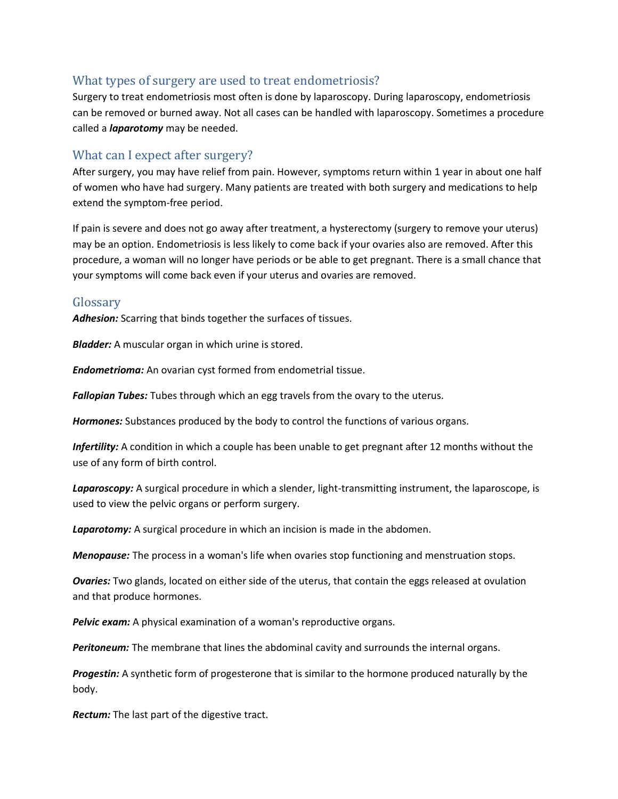### What types of surgery are used to treat endometriosis?

Surgery to treat endometriosis most often is done by laparoscopy. During laparoscopy, endometriosis can be removed or burned away. Not all cases can be handled with laparoscopy. Sometimes a procedure called a *laparotomy* may be needed.

### What can I expect after surgery?

After surgery, you may have relief from pain. However, symptoms return within 1 year in about one half of women who have had surgery. Many patients are treated with both surgery and medications to help extend the symptom-free period.

If pain is severe and does not go away after treatment, a hysterectomy (surgery to remove your uterus) may be an option. Endometriosis is less likely to come back if your ovaries also are removed. After this procedure, a woman will no longer have periods or be able to get pregnant. There is a small chance that your symptoms will come back even if your uterus and ovaries are removed.

#### Glossary

*Adhesion:* Scarring that binds together the surfaces of tissues.

*Bladder:* A muscular organ in which urine is stored.

*Endometrioma:* An ovarian cyst formed from endometrial tissue.

*Fallopian Tubes:* Tubes through which an egg travels from the ovary to the uterus.

*Hormones:* Substances produced by the body to control the functions of various organs.

*Infertility:* A condition in which a couple has been unable to get pregnant after 12 months without the use of any form of birth control.

*Laparoscopy:* A surgical procedure in which a slender, light-transmitting instrument, the laparoscope, is used to view the pelvic organs or perform surgery.

*Laparotomy:* A surgical procedure in which an incision is made in the abdomen.

*Menopause:* The process in a woman's life when ovaries stop functioning and menstruation stops.

*Ovaries:* Two glands, located on either side of the uterus, that contain the eggs released at ovulation and that produce hormones.

*Pelvic exam:* A physical examination of a woman's reproductive organs.

*Peritoneum:* The membrane that lines the abdominal cavity and surrounds the internal organs.

*Progestin:* A synthetic form of progesterone that is similar to the hormone produced naturally by the body.

*Rectum:* The last part of the digestive tract.